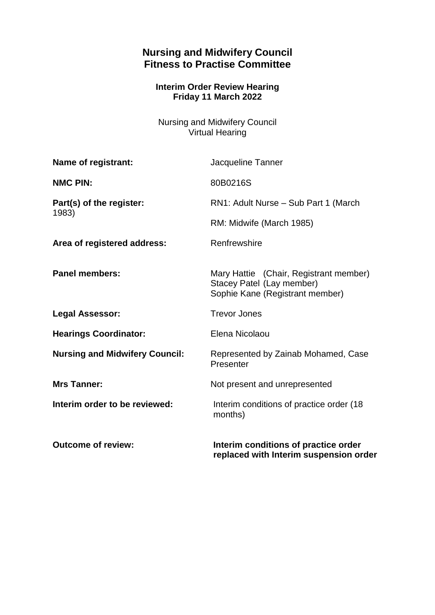## **Nursing and Midwifery Council Fitness to Practise Committee**

## **Interim Order Review Hearing Friday 11 March 2022**

Nursing and Midwifery Council Virtual Hearing

| Name of registrant:                   | Jacqueline Tanner                                                                                      |
|---------------------------------------|--------------------------------------------------------------------------------------------------------|
| <b>NMC PIN:</b>                       | 80B0216S                                                                                               |
| Part(s) of the register:<br>1983)     | RN1: Adult Nurse - Sub Part 1 (March                                                                   |
|                                       | RM: Midwife (March 1985)                                                                               |
| Area of registered address:           | Renfrewshire                                                                                           |
| <b>Panel members:</b>                 | Mary Hattie (Chair, Registrant member)<br>Stacey Patel (Lay member)<br>Sophie Kane (Registrant member) |
| <b>Legal Assessor:</b>                | <b>Trevor Jones</b>                                                                                    |
| <b>Hearings Coordinator:</b>          | Elena Nicolaou                                                                                         |
| <b>Nursing and Midwifery Council:</b> | Represented by Zainab Mohamed, Case<br>Presenter                                                       |
| <b>Mrs Tanner:</b>                    | Not present and unrepresented                                                                          |
| Interim order to be reviewed:         | Interim conditions of practice order (18)<br>months)                                                   |
| <b>Outcome of review:</b>             | Interim conditions of practice order<br>replaced with Interim suspension order                         |